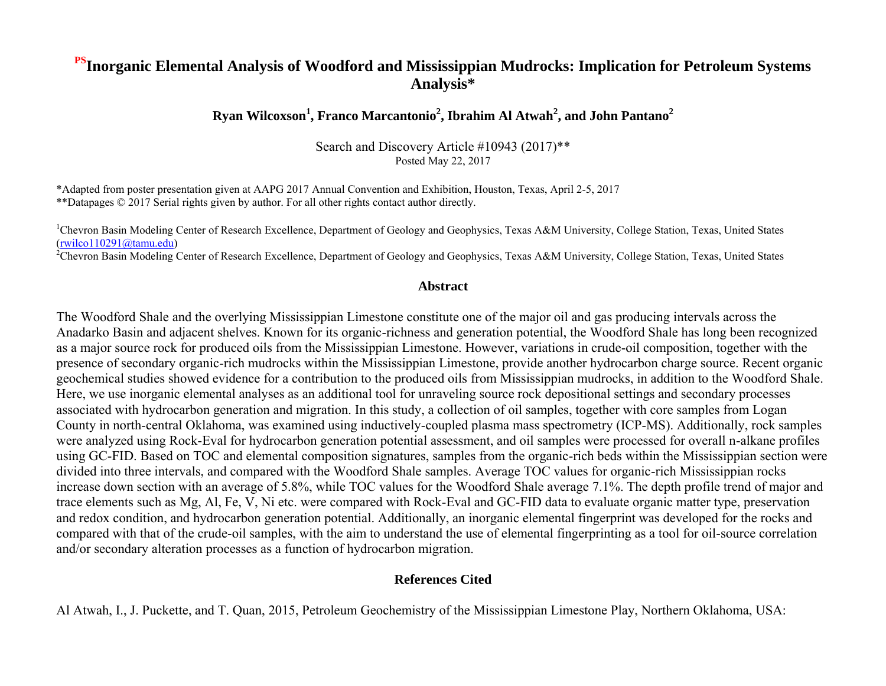#### **PSInorganic Elemental Analysis of Woodford and Mississippian Mudrocks: Implication for Petroleum Systems Analysis\***

#### **Ryan Wilcoxson<sup>1</sup> , Franco Marcantonio<sup>2</sup> , Ibrahim Al Atwah<sup>2</sup> , and John Pantano<sup>2</sup>**

Search and Discovery Article #10943 (2017)\*\* Posted May 22, 2017

\*Adapted from poster presentation given at AAPG 2017 Annual Convention and Exhibition, Houston, Texas, April 2-5, 2017 \*\*Datapages © 2017 Serial rights given by author. For all other rights contact author directly.

<sup>1</sup>Chevron Basin Modeling Center of Research Excellence, Department of Geology and Geophysics, Texas A&M University, College Station, Texas, United States (rwilco110291@tamu.edu)

<sup>2</sup>Chevron Basin Modeling Center of Research Excellence, Department of Geology and Geophysics, Texas A&M University, College Station, Texas, United States

#### **Abstract**

The Woodford Shale and the overlying Mississippian Limestone constitute one of the major oil and gas producing intervals across the Anadarko Basin and adjacent shelves. Known for its organic-richness and generation potential, the Woodford Shale has long been recognized as a major source rock for produced oils from the Mississippian Limestone. However, variations in crude-oil composition, together with the presence of secondary organic-rich mudrocks within the Mississippian Limestone, provide another hydrocarbon charge source. Recent organic geochemical studies showed evidence for a contribution to the produced oils from Mississippian mudrocks, in addition to the Woodford Shale. Here, we use inorganic elemental analyses as an additional tool for unraveling source rock depositional settings and secondary processes associated with hydrocarbon generation and migration. In this study, a collection of oil samples, together with core samples from Logan County in north-central Oklahoma, was examined using inductively-coupled plasma mass spectrometry (ICP-MS). Additionally, rock samples were analyzed using Rock-Eval for hydrocarbon generation potential assessment, and oil samples were processed for overall n-alkane profiles using GC-FID. Based on TOC and elemental composition signatures, samples from the organic-rich beds within the Mississippian section were divided into three intervals, and compared with the Woodford Shale samples. Average TOC values for organic-rich Mississippian rocks increase down section with an average of 5.8%, while TOC values for the Woodford Shale average 7.1%. The depth profile trend of major and trace elements such as Mg, Al, Fe, V, Ni etc. were compared with Rock-Eval and GC-FID data to evaluate organic matter type, preservation and redox condition, and hydrocarbon generation potential. Additionally, an inorganic elemental fingerprint was developed for the rocks and compared with that of the crude-oil samples, with the aim to understand the use of elemental fingerprinting as a tool for oil-source correlation and/or secondary alteration processes as a function of hydrocarbon migration.

#### **References Cited**

Al Atwah, I., J. Puckette, and T. Quan, 2015, Petroleum Geochemistry of the Mississippian Limestone Play, Northern Oklahoma, USA: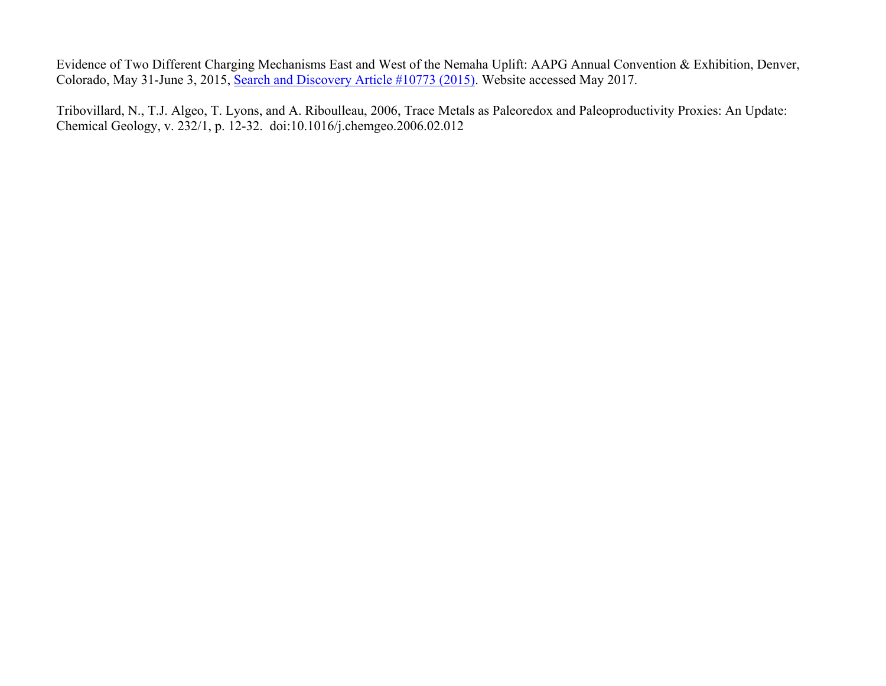Evidence of Two Different Charging Mechanisms East and West of the Nemaha Uplift: AAPG Annual Convention & Exhibition, Denver, Colorado, May 31-June 3, 2015, [Search and Discovery Article #10773 \(2015\).](http://www.searchanddiscovery.com/documents/2015/10773alatwah/ndx_alatwah.pdf) Website accessed May 2017.

Tribovillard, N., T.J. Algeo, T. Lyons, and A. Riboulleau, 2006, Trace Metals as Paleoredox and Paleoproductivity Proxies: An Update: Chemical Geology, v. 232/1, p. 12-32. doi:10.1016/j.chemgeo.2006.02.012